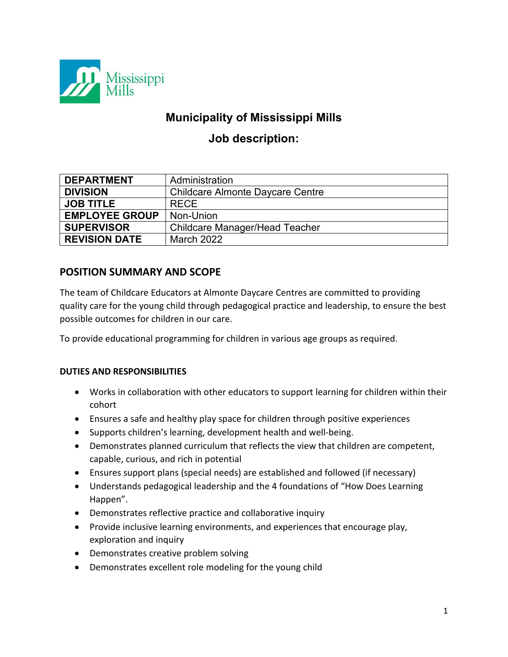

# **Municipality of Mississippi Mills**

# **Job description:**

| <b>DEPARTMENT</b>     | Administration                          |
|-----------------------|-----------------------------------------|
| <b>DIVISION</b>       | <b>Childcare Almonte Daycare Centre</b> |
| <b>JOB TITLE</b>      | <b>RECE</b>                             |
| <b>EMPLOYEE GROUP</b> | Non-Union                               |
| <b>SUPERVISOR</b>     | Childcare Manager/Head Teacher          |
| <b>REVISION DATE</b>  | <b>March 2022</b>                       |

## **POSITION SUMMARY AND SCOPE**

The team of Childcare Educators at Almonte Daycare Centres are committed to providing quality care for the young child through pedagogical practice and leadership, to ensure the best possible outcomes for children in our care.

To provide educational programming for children in various age groups as required.

### **DUTIES AND RESPONSIBILITIES**

- Works in collaboration with other educators to support learning for children within their cohort
- Ensures a safe and healthy play space for children through positive experiences
- Supports children's learning, development health and well-being.
- Demonstrates planned curriculum that reflects the view that children are competent, capable, curious, and rich in potential
- Ensures support plans (special needs) are established and followed (if necessary)
- Understands pedagogical leadership and the 4 foundations of "How Does Learning Happen".
- Demonstrates reflective practice and collaborative inquiry
- Provide inclusive learning environments, and experiences that encourage play, exploration and inquiry
- Demonstrates creative problem solving
- Demonstrates excellent role modeling for the young child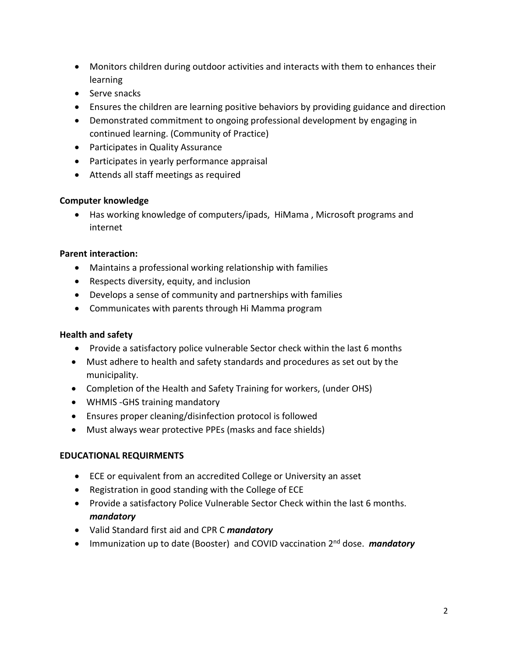- Monitors children during outdoor activities and interacts with them to enhances their learning
- Serve snacks
- Ensures the children are learning positive behaviors by providing guidance and direction
- Demonstrated commitment to ongoing professional development by engaging in continued learning. (Community of Practice)
- Participates in Quality Assurance
- Participates in yearly performance appraisal
- Attends all staff meetings as required

#### **Computer knowledge**

• Has working knowledge of computers/ipads, HiMama , Microsoft programs and internet

#### **Parent interaction:**

- Maintains a professional working relationship with families
- Respects diversity, equity, and inclusion
- Develops a sense of community and partnerships with families
- Communicates with parents through Hi Mamma program

#### **Health and safety**

- Provide a satisfactory police vulnerable Sector check within the last 6 months
- Must adhere to health and safety standards and procedures as set out by the municipality.
- Completion of the Health and Safety Training for workers, (under OHS)
- WHMIS -GHS training mandatory
- Ensures proper cleaning/disinfection protocol is followed
- Must always wear protective PPEs (masks and face shields)

#### **EDUCATIONAL REQUIRMENTS**

- ECE or equivalent from an accredited College or University an asset
- Registration in good standing with the College of ECE
- Provide a satisfactory Police Vulnerable Sector Check within the last 6 months. *mandatory*
- Valid Standard first aid and CPR C *mandatory*
- Immunization up to date (Booster) and COVID vaccination 2nd dose. *mandatory*